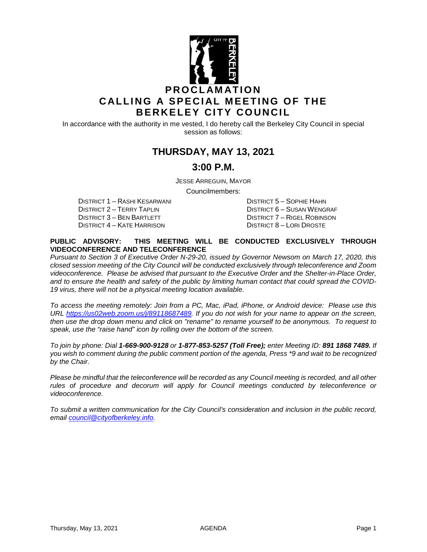

In accordance with the authority in me vested, I do hereby call the Berkeley City Council in special session as follows:

# **THURSDAY, MAY 13, 2021**

### **3:00 P.M.**

JESSE ARREGUIN, MAYOR

Councilmembers:

DISTRICT 1 – RASHI KESARWANI DISTRICT 5 – SOPHIE HAHN DISTRICT 3 – BEN BARTLETT DISTRICT 7 – RIGEL ROBINSON DISTRICT 4 – KATE HARRISON DISTRICT 8 – LORI DROSTE

DISTRICT 6 – SUSAN WENGRAF

#### **PUBLIC ADVISORY: THIS MEETING WILL BE CONDUCTED EXCLUSIVELY THROUGH VIDEOCONFERENCE AND TELECONFERENCE**

*Pursuant to Section 3 of Executive Order N-29-20, issued by Governor Newsom on March 17, 2020, this closed session meeting of the City Council will be conducted exclusively through teleconference and Zoom videoconference. Please be advised that pursuant to the Executive Order and the Shelter-in-Place Order, and to ensure the health and safety of the public by limiting human contact that could spread the COVID-19 virus, there will not be a physical meeting location available.* 

*To access the meeting remotely: Join from a PC, Mac, iPad, iPhone, or Android device: Please use this URL [https://us02web.zoom.us/j/89118687489.](https://us02web.zoom.us/j/89118687489) If you do not wish for your name to appear on the screen, then use the drop down menu and click on "rename" to rename yourself to be anonymous. To request to speak, use the "raise hand" icon by rolling over the bottom of the screen.* 

*To join by phone: Dial 1-669-900-9128 or 1-877-853-5257 (Toll Free); enter Meeting ID: 891 1868 7489. If you wish to comment during the public comment portion of the agenda, Press \*9 and wait to be recognized by the Chair.* 

*Please be mindful that the teleconference will be recorded as any Council meeting is recorded, and all other rules of procedure and decorum will apply for Council meetings conducted by teleconference or videoconference.*

*To submit a written communication for the City Council's consideration and inclusion in the public record, email [council@cityofberkeley.info.](mailto:council@cityofberkeley.info)*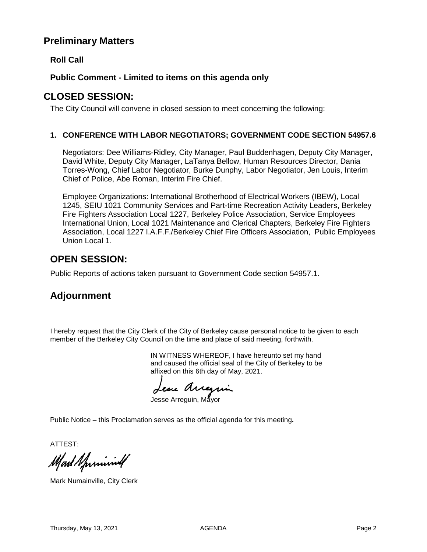## **Preliminary Matters**

### **Roll Call**

#### **Public Comment - Limited to items on this agenda only**

### **CLOSED SESSION:**

The City Council will convene in closed session to meet concerning the following:

#### **1. CONFERENCE WITH LABOR NEGOTIATORS; GOVERNMENT CODE SECTION 54957.6**

Negotiators: Dee Williams-Ridley, City Manager, Paul Buddenhagen, Deputy City Manager, David White, Deputy City Manager, LaTanya Bellow, Human Resources Director, Dania Torres-Wong, Chief Labor Negotiator, Burke Dunphy, Labor Negotiator, Jen Louis, Interim Chief of Police, Abe Roman, Interim Fire Chief.

Employee Organizations: International Brotherhood of Electrical Workers (IBEW), Local 1245, SEIU 1021 Community Services and Part-time Recreation Activity Leaders, Berkeley Fire Fighters Association Local 1227, Berkeley Police Association, Service Employees International Union, Local 1021 Maintenance and Clerical Chapters, Berkeley Fire Fighters Association, Local 1227 I.A.F.F./Berkeley Chief Fire Officers Association, Public Employees Union Local 1.

## **OPEN SESSION:**

Public Reports of actions taken pursuant to Government Code section 54957.1.

# **Adjournment**

I hereby request that the City Clerk of the City of Berkeley cause personal notice to be given to each member of the Berkeley City Council on the time and place of said meeting, forthwith.

> IN WITNESS WHEREOF, I have hereunto set my hand and caused the official seal of the City of Berkeley to be affixed on this 6th day of May, 2021.

ese Arregai

Jesse Arreguin, Mavor

Public Notice – this Proclamation serves as the official agenda for this meeting**.**

ATTEST:

Mart Sprining

Mark Numainville, City Clerk